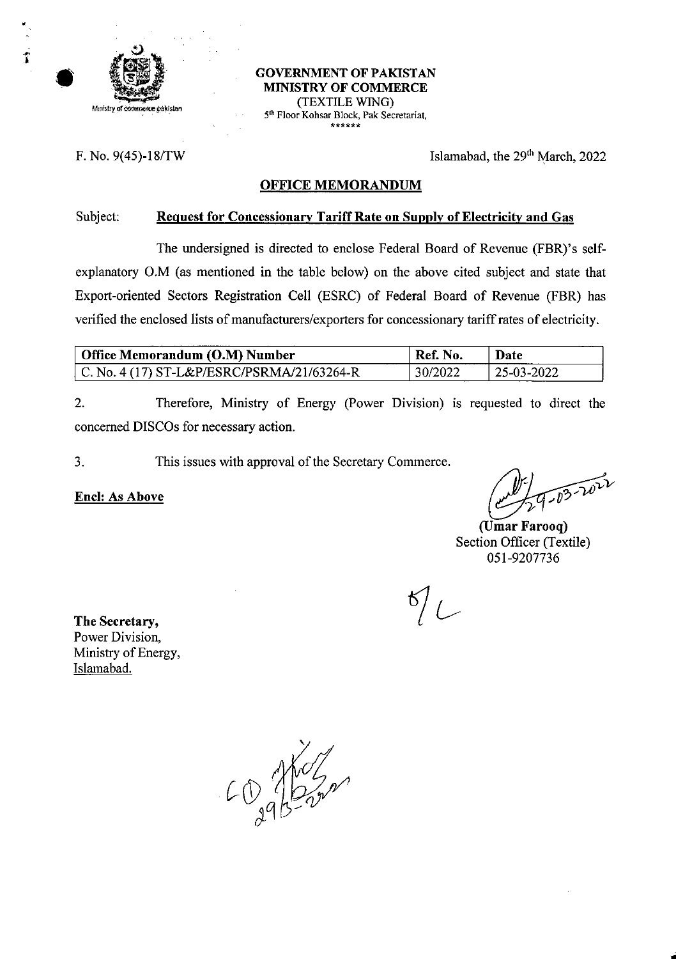

#### **GOVERNMENT OF PAKISTAN MINISTRY OF** COMMERCE (TEXTILE WING) 5<sup>th</sup> Floor Kohsar Block, Pak Secretariat, *\*\*\*\*\*\**

F. No.  $9(45)$ -18/TW Islamabad, the  $29<sup>th</sup>$  March, 2022

### **OFFICE MEMORANDUM**

### **Subject: Request for Concessionary Tariff Rate on Supply of Electricity and Gas**

The undersigned is directed to enclose Federal Board of Revenue (FBR)'s selfexplanatory O.M (as mentioned in the table below) on the above cited subject and state that Export-oriented Sectors Registration Cell (ESRC) of Federal Board of Revenue (FBR) has verified the enclosed lists of manufacturers/exporters for concessionary tariff rates of electricity.

| Office Memorandum (O.M) Number             | Ref. No. | Date         |
|--------------------------------------------|----------|--------------|
| C. No. 4 (17) ST-L&P/ESRC/PSRMA/21/63264-R | 30/2022  | $25-03-2022$ |

Therefore, Ministry of Energy (Power Division) is requested to direct the concerned DISCOs for necessary action. 2.

3. This issues with approval of the Secretary Commerce.

 $\lim_{x\to0}$  **As Above**  $\lim_{x\to0}$  **p**  $\lim_{x\to0}$  **p**  $\lim_{x\to0}$  **p**  $\lim_{x\to0}$  **p**  $\lim_{x\to0}$ 

**(Umar Farooq)** Section Officer (Textile) 051-9207736

 $\frac{6}{2}$ 

**The Secretary,** Power Division, Ministry of Energy, Islamabad.

**/i 7**